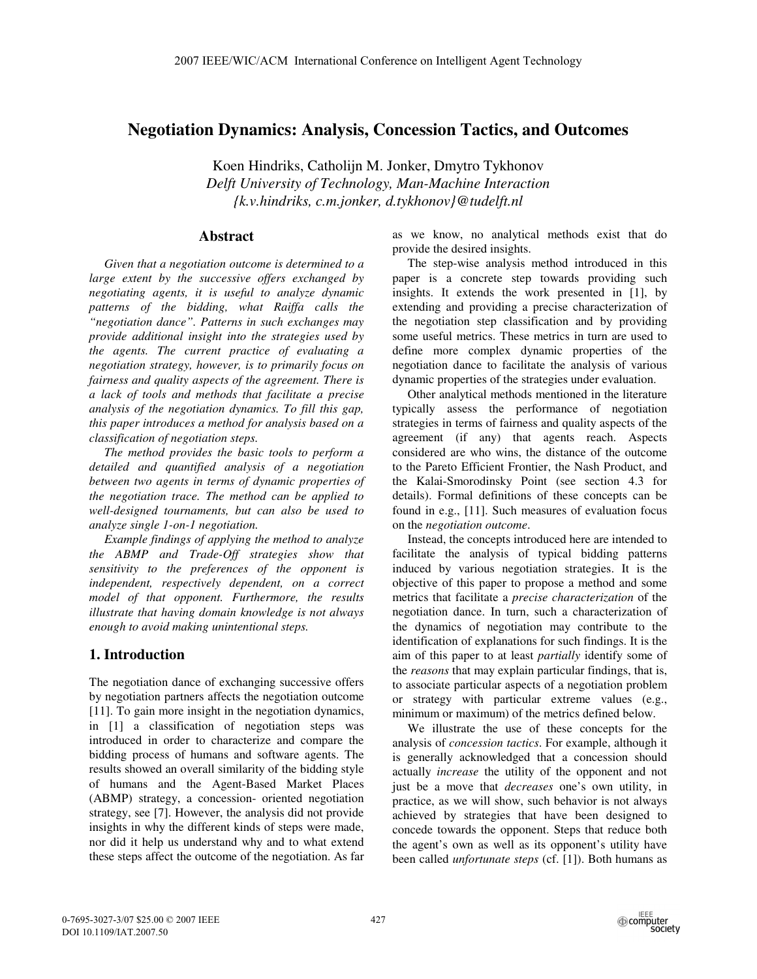# **Negotiation Dynamics: Analysis, Concession Tactics, and Outcomes**

Koen Hindriks, Catholijn M. Jonker, Dmytro Tykhonov

*Delft University of Technology, Man-Machine Interaction {k.v.hindriks, c.m.jonker, d.tykhonov}@tudelft.nl* 

### **Abstract**

*Given that a negotiation outcome is determined to a large extent by the successive offers exchanged by negotiating agents, it is useful to analyze dynamic patterns of the bidding, what Raiffa calls the "negotiation dance". Patterns in such exchanges may provide additional insight into the strategies used by the agents. The current practice of evaluating a negotiation strategy, however, is to primarily focus on fairness and quality aspects of the agreement. There is a lack of tools and methods that facilitate a precise analysis of the negotiation dynamics. To fill this gap, this paper introduces a method for analysis based on a classification of negotiation steps.* 

*The method provides the basic tools to perform a detailed and quantified analysis of a negotiation between two agents in terms of dynamic properties of the negotiation trace. The method can be applied to well-designed tournaments, but can also be used to analyze single 1-on-1 negotiation.* 

*Example findings of applying the method to analyze the ABMP and Trade-Off strategies show that sensitivity to the preferences of the opponent is independent, respectively dependent, on a correct model of that opponent. Furthermore, the results illustrate that having domain knowledge is not always enough to avoid making unintentional steps.* 

# **1. Introduction**

The negotiation dance of exchanging successive offers by negotiation partners affects the negotiation outcome [11]. To gain more insight in the negotiation dynamics, in [1] a classification of negotiation steps was introduced in order to characterize and compare the bidding process of humans and software agents. The results showed an overall similarity of the bidding style of humans and the Agent-Based Market Places (ABMP) strategy, a concession- oriented negotiation strategy, see [7]. However, the analysis did not provide insights in why the different kinds of steps were made, nor did it help us understand why and to what extend these steps affect the outcome of the negotiation. As far as we know, no analytical methods exist that do provide the desired insights.

The step-wise analysis method introduced in this paper is a concrete step towards providing such insights. It extends the work presented in [1], by extending and providing a precise characterization of the negotiation step classification and by providing some useful metrics. These metrics in turn are used to define more complex dynamic properties of the negotiation dance to facilitate the analysis of various dynamic properties of the strategies under evaluation.

Other analytical methods mentioned in the literature typically assess the performance of negotiation strategies in terms of fairness and quality aspects of the agreement (if any) that agents reach. Aspects considered are who wins, the distance of the outcome to the Pareto Efficient Frontier, the Nash Product, and the Kalai-Smorodinsky Point (see section 4.3 for details). Formal definitions of these concepts can be found in e.g., [11]. Such measures of evaluation focus on the *negotiation outcome*.

Instead, the concepts introduced here are intended to facilitate the analysis of typical bidding patterns induced by various negotiation strategies. It is the objective of this paper to propose a method and some metrics that facilitate a *precise characterization* of the negotiation dance. In turn, such a characterization of the dynamics of negotiation may contribute to the identification of explanations for such findings. It is the aim of this paper to at least *partially* identify some of the *reasons* that may explain particular findings, that is, to associate particular aspects of a negotiation problem or strategy with particular extreme values (e.g., minimum or maximum) of the metrics defined below.

We illustrate the use of these concepts for the analysis of *concession tactics*. For example, although it is generally acknowledged that a concession should actually *increase* the utility of the opponent and not just be a move that *decreases* one's own utility, in practice, as we will show, such behavior is not always achieved by strategies that have been designed to concede towards the opponent. Steps that reduce both the agent's own as well as its opponent's utility have been called *unfortunate steps* (cf. [1]). Both humans as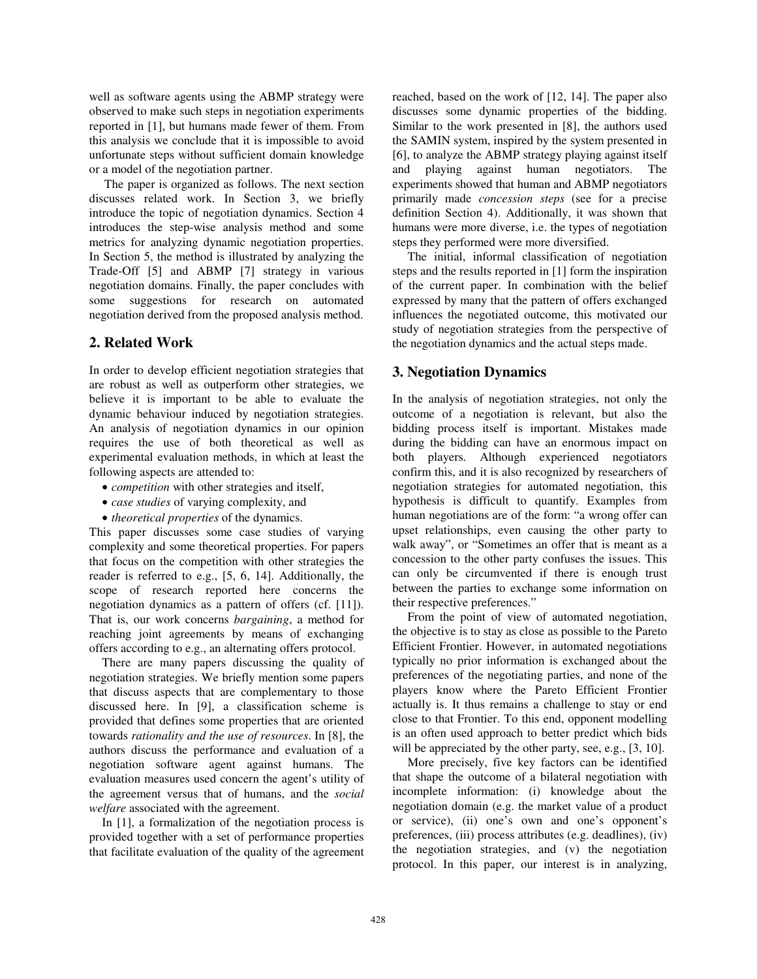well as software agents using the ABMP strategy were observed to make such steps in negotiation experiments reported in [1], but humans made fewer of them. From this analysis we conclude that it is impossible to avoid unfortunate steps without sufficient domain knowledge or a model of the negotiation partner.

The paper is organized as follows. The next section discusses related work. In Section 3, we briefly introduce the topic of negotiation dynamics. Section 4 introduces the step-wise analysis method and some metrics for analyzing dynamic negotiation properties. In Section 5, the method is illustrated by analyzing the Trade-Off [5] and ABMP [7] strategy in various negotiation domains. Finally, the paper concludes with some suggestions for research on automated negotiation derived from the proposed analysis method.

### **2. Related Work**

In order to develop efficient negotiation strategies that are robust as well as outperform other strategies, we believe it is important to be able to evaluate the dynamic behaviour induced by negotiation strategies. An analysis of negotiation dynamics in our opinion requires the use of both theoretical as well as experimental evaluation methods, in which at least the following aspects are attended to:

- *competition* with other strategies and itself,
- *case studies* of varying complexity, and
- *theoretical properties* of the dynamics.

This paper discusses some case studies of varying complexity and some theoretical properties. For papers that focus on the competition with other strategies the reader is referred to e.g., [5, 6, 14]. Additionally, the scope of research reported here concerns the negotiation dynamics as a pattern of offers (cf. [11]). That is, our work concerns *bargaining*, a method for reaching joint agreements by means of exchanging offers according to e.g., an alternating offers protocol.

There are many papers discussing the quality of negotiation strategies. We briefly mention some papers that discuss aspects that are complementary to those discussed here. In [9], a classification scheme is provided that defines some properties that are oriented towards *rationality and the use of resources*. In [8], the authors discuss the performance and evaluation of a negotiation software agent against humans. The evaluation measures used concern the agent's utility of the agreement versus that of humans, and the *social welfare* associated with the agreement.

In [1], a formalization of the negotiation process is provided together with a set of performance properties that facilitate evaluation of the quality of the agreement reached, based on the work of [12, 14]. The paper also discusses some dynamic properties of the bidding. Similar to the work presented in [8], the authors used the SAMIN system, inspired by the system presented in [6], to analyze the ABMP strategy playing against itself and playing against human negotiators. The experiments showed that human and ABMP negotiators primarily made *concession steps* (see for a precise definition Section 4). Additionally, it was shown that humans were more diverse, i.e. the types of negotiation steps they performed were more diversified.

The initial, informal classification of negotiation steps and the results reported in [1] form the inspiration of the current paper. In combination with the belief expressed by many that the pattern of offers exchanged influences the negotiated outcome, this motivated our study of negotiation strategies from the perspective of the negotiation dynamics and the actual steps made.

## **3. Negotiation Dynamics**

In the analysis of negotiation strategies, not only the outcome of a negotiation is relevant, but also the bidding process itself is important. Mistakes made during the bidding can have an enormous impact on both players. Although experienced negotiators confirm this, and it is also recognized by researchers of negotiation strategies for automated negotiation, this hypothesis is difficult to quantify. Examples from human negotiations are of the form: "a wrong offer can upset relationships, even causing the other party to walk away", or "Sometimes an offer that is meant as a concession to the other party confuses the issues. This can only be circumvented if there is enough trust between the parties to exchange some information on their respective preferences."

From the point of view of automated negotiation, the objective is to stay as close as possible to the Pareto Efficient Frontier. However, in automated negotiations typically no prior information is exchanged about the preferences of the negotiating parties, and none of the players know where the Pareto Efficient Frontier actually is. It thus remains a challenge to stay or end close to that Frontier. To this end, opponent modelling is an often used approach to better predict which bids will be appreciated by the other party, see, e.g., [3, 10].

More precisely, five key factors can be identified that shape the outcome of a bilateral negotiation with incomplete information: (i) knowledge about the negotiation domain (e.g. the market value of a product or service), (ii) one's own and one's opponent's preferences, (iii) process attributes (e.g. deadlines), (iv) the negotiation strategies, and (v) the negotiation protocol. In this paper, our interest is in analyzing,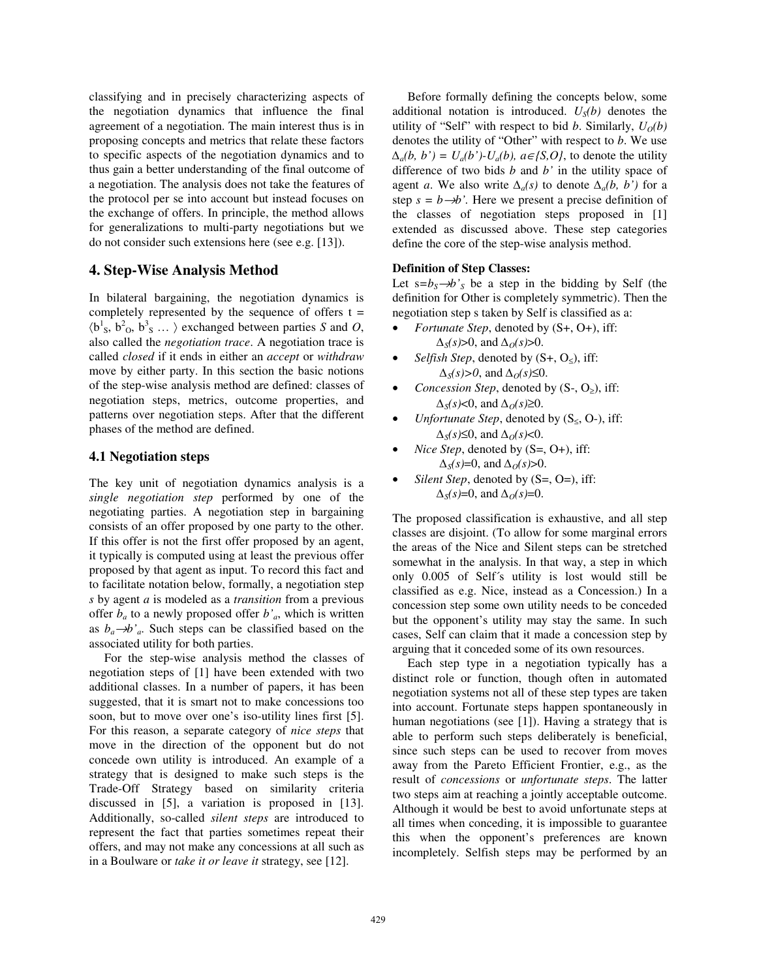classifying and in precisely characterizing aspects of the negotiation dynamics that influence the final agreement of a negotiation. The main interest thus is in proposing concepts and metrics that relate these factors to specific aspects of the negotiation dynamics and to thus gain a better understanding of the final outcome of a negotiation. The analysis does not take the features of the protocol per se into account but instead focuses on the exchange of offers. In principle, the method allows for generalizations to multi-party negotiations but we do not consider such extensions here (see e.g. [13]).

## **4. Step-Wise Analysis Method**

In bilateral bargaining, the negotiation dynamics is completely represented by the sequence of offers  $t =$  $\langle b^1_s, b^2_o, b^3_s \dots \rangle$  exchanged between parties *S* and *O*, also called the *negotiation trace*. A negotiation trace is called *closed* if it ends in either an *accept* or *withdraw*  move by either party. In this section the basic notions of the step-wise analysis method are defined: classes of negotiation steps, metrics, outcome properties, and patterns over negotiation steps. After that the different phases of the method are defined.

### **4.1 Negotiation steps**

The key unit of negotiation dynamics analysis is a *single negotiation step* performed by one of the negotiating parties. A negotiation step in bargaining consists of an offer proposed by one party to the other. If this offer is not the first offer proposed by an agent, it typically is computed using at least the previous offer proposed by that agent as input. To record this fact and to facilitate notation below, formally, a negotiation step *s* by agent *a* is modeled as a *transition* from a previous offer  $b_a$  to a newly proposed offer  $b'_a$ , which is written as  $b_a \rightarrow b'_a$ . Such steps can be classified based on the associated utility for both parties.

For the step-wise analysis method the classes of negotiation steps of [1] have been extended with two additional classes. In a number of papers, it has been suggested, that it is smart not to make concessions too soon, but to move over one's iso-utility lines first [5]. For this reason, a separate category of *nice steps* that move in the direction of the opponent but do not concede own utility is introduced. An example of a strategy that is designed to make such steps is the Trade-Off Strategy based on similarity criteria discussed in [5], a variation is proposed in [13]. Additionally, so-called *silent steps* are introduced to represent the fact that parties sometimes repeat their offers, and may not make any concessions at all such as in a Boulware or *take it or leave it* strategy, see [12].

Before formally defining the concepts below, some additional notation is introduced.  $U<sub>S</sub>(b)$  denotes the utility of "Self" with respect to bid *b*. Similarly,  $U_0(b)$ denotes the utility of "Other" with respect to *b*. We use  $\Delta_a(b, b') = U_a(b') - U_a(b), a \in \{S, O\}$ , to denote the utility difference of two bids *b* and *b'* in the utility space of agent *a*. We also write  $\Delta_a(s)$  to denote  $\Delta_a(b, b')$  for a step  $s = b \rightarrow b'$ . Here we present a precise definition of the classes of negotiation steps proposed in [1] extended as discussed above. These step categories define the core of the step-wise analysis method.

### **Definition of Step Classes:**

Let  $s=b_s\rightarrow b'_s$  be a step in the bidding by Self (the definition for Other is completely symmetric). Then the negotiation step s taken by Self is classified as a:

- *Fortunate Step*, denoted by (S+, O+), iff:  $\Delta_S(s) > 0$ , and  $\Delta_O(s) > 0$ .
- *Selfish Step*, denoted by  $(S+, O<sub>≤</sub>)$ , iff:  $\Delta_S(s) > 0$ , and  $\Delta_O(s) \leq 0$ .
- *Concession Step*, denoted by  $(S_-, O_2)$ , iff:  $\Delta_S(s)$ <0, and  $\Delta_O(s) \ge 0$ .
- *Unfortunate Step*, denoted by  $(S_5, O_2)$ , iff:  $\Delta_S(s) \leq 0$ , and  $\Delta_O(s) < 0$ .
- *Nice Step*, denoted by (S=, O+), iff:  $\Delta_s(s)=0$ , and  $\Delta_O(s)>0$ .
- *Silent Step*, denoted by  $(S=, O=)$ , iff:  $\Delta_S(s)=0$ , and  $\Delta_O(s)=0$ .

The proposed classification is exhaustive, and all step classes are disjoint. (To allow for some marginal errors the areas of the Nice and Silent steps can be stretched somewhat in the analysis. In that way, a step in which only 0.005 of Self´s utility is lost would still be classified as e.g. Nice, instead as a Concession.) In a concession step some own utility needs to be conceded but the opponent's utility may stay the same. In such cases, Self can claim that it made a concession step by arguing that it conceded some of its own resources.

Each step type in a negotiation typically has a distinct role or function, though often in automated negotiation systems not all of these step types are taken into account. Fortunate steps happen spontaneously in human negotiations (see [1]). Having a strategy that is able to perform such steps deliberately is beneficial, since such steps can be used to recover from moves away from the Pareto Efficient Frontier, e.g., as the result of *concessions* or *unfortunate steps*. The latter two steps aim at reaching a jointly acceptable outcome. Although it would be best to avoid unfortunate steps at all times when conceding, it is impossible to guarantee this when the opponent's preferences are known incompletely. Selfish steps may be performed by an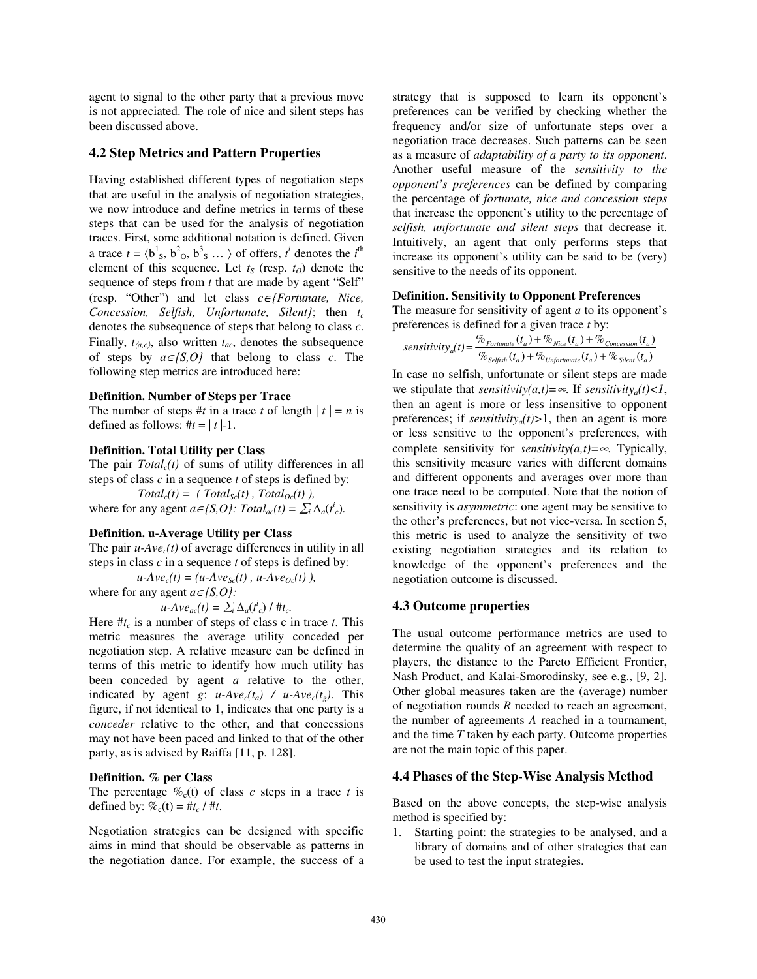agent to signal to the other party that a previous move is not appreciated. The role of nice and silent steps has been discussed above.

#### **4.2 Step Metrics and Pattern Properties**

Having established different types of negotiation steps that are useful in the analysis of negotiation strategies, we now introduce and define metrics in terms of these steps that can be used for the analysis of negotiation traces. First, some additional notation is defined. Given a trace  $t = \langle b^1_s, b^2_o, b^3_s \dots \rangle$  of offers,  $t^i$  denotes the  $i^{\text{th}}$ element of this sequence. Let  $t_S$  (resp.  $t_O$ ) denote the sequence of steps from *t* that are made by agent "Self" (resp. "Other") and let class *c*∈*{Fortunate, Nice, Concession, Selfish, Unfortunate, Silent*}; then  $t_c$ denotes the subsequence of steps that belong to class *c*. Finally,  $t_{\langle a, c \rangle}$ , also written  $t_{ac}$ , denotes the subsequence of steps by *a*∈*{S,O}* that belong to class *c*. The following step metrics are introduced here:

### **Definition. Number of Steps per Trace**

The number of steps #*t* in a trace *t* of length  $|t| = n$  is defined as follows:  $\#t = |t|$ -1.

#### **Definition. Total Utility per Class**

The pair  $Total_c(t)$  of sums of utility differences in all steps of class *c* in a sequence *t* of steps is defined by:

 $Total_c(t) = (Total_{Sc}(t), Total_{Oc}(t)),$ where for any agent  $a \in \{S, O\}$ :  $Total_{ac}(t) = \sum_i \Delta_a(t^i)$ .

### **Definition. u-Average Utility per Class**

The pair  $u$ -Ave<sub>c</sub> $(t)$  of average differences in utility in all steps in class *c* in a sequence *t* of steps is defined by:

 $u$ -Ave<sub>c</sub>(t) = (u-Ave<sub>Sc</sub>(t), u-Ave<sub>Oc</sub>(t)), where for any agent *a*∈*{S,O}:*

 $u$ -*Ave*<sub>ac</sub>(*t*) =  $\sum_i \Delta_a(t^i)$  / #*t<sub>c</sub>*.

Here  $#t_c$  is a number of steps of class c in trace  $t$ . This metric measures the average utility conceded per negotiation step. A relative measure can be defined in terms of this metric to identify how much utility has been conceded by agent *a* relative to the other, indicated by agent *g*: *u-Ave<sub>c</sub>*( $t_a$ ) / *u-Ave<sub>c</sub>*( $t_p$ ). This figure, if not identical to 1, indicates that one party is a *conceder* relative to the other, and that concessions may not have been paced and linked to that of the other party, as is advised by Raiffa [11, p. 128].

### **Definition. % per Class**

The percentage  $\mathcal{C}_{c}(t)$  of class *c* steps in a trace *t* is defined by:  $\mathcal{C}_{c}(t) = #t_c$  / #*t*.

Negotiation strategies can be designed with specific aims in mind that should be observable as patterns in the negotiation dance. For example, the success of a strategy that is supposed to learn its opponent's preferences can be verified by checking whether the frequency and/or size of unfortunate steps over a negotiation trace decreases. Such patterns can be seen as a measure of *adaptability of a party to its opponent*. Another useful measure of the *sensitivity to the opponent's preferences* can be defined by comparing the percentage of *fortunate, nice and concession steps* that increase the opponent's utility to the percentage of *selfish, unfortunate and silent steps* that decrease it. Intuitively, an agent that only performs steps that increase its opponent's utility can be said to be (very) sensitive to the needs of its opponent.

#### **Definition. Sensitivity to Opponent Preferences**

The measure for sensitivity of agent *a* to its opponent's preferences is defined for a given trace *t* by:

$$
sensitivity_a(t) = \frac{\%_{Fortimate}(t_a) + \%_{Nice}(t_a) + \%_{Concession}(t_a)}{\%_{Selfish}(t_a) + \%_{Unformate}(t_a) + \%_{Silent}(t_a)}
$$

In case no selfish, unfortunate or silent steps are made we stipulate that *sensitivity(a,t)*=∞. If *sensitivity<sub>a</sub>(t)<1*, then an agent is more or less insensitive to opponent preferences; if *sensitivity<sub>a</sub>* $(t)$ >1, then an agent is more or less sensitive to the opponent's preferences, with complete sensitivity for *sensitivity(a,t)=*∞. Typically, this sensitivity measure varies with different domains and different opponents and averages over more than one trace need to be computed. Note that the notion of sensitivity is *asymmetric*: one agent may be sensitive to the other's preferences, but not vice-versa. In section 5, this metric is used to analyze the sensitivity of two existing negotiation strategies and its relation to knowledge of the opponent's preferences and the negotiation outcome is discussed.

### **4.3 Outcome properties**

The usual outcome performance metrics are used to determine the quality of an agreement with respect to players, the distance to the Pareto Efficient Frontier, Nash Product, and Kalai-Smorodinsky, see e.g., [9, 2]. Other global measures taken are the (average) number of negotiation rounds *R* needed to reach an agreement, the number of agreements *A* reached in a tournament, and the time *T* taken by each party. Outcome properties are not the main topic of this paper.

### **4.4 Phases of the Step-Wise Analysis Method**

Based on the above concepts, the step-wise analysis method is specified by:

1. Starting point: the strategies to be analysed, and a library of domains and of other strategies that can be used to test the input strategies.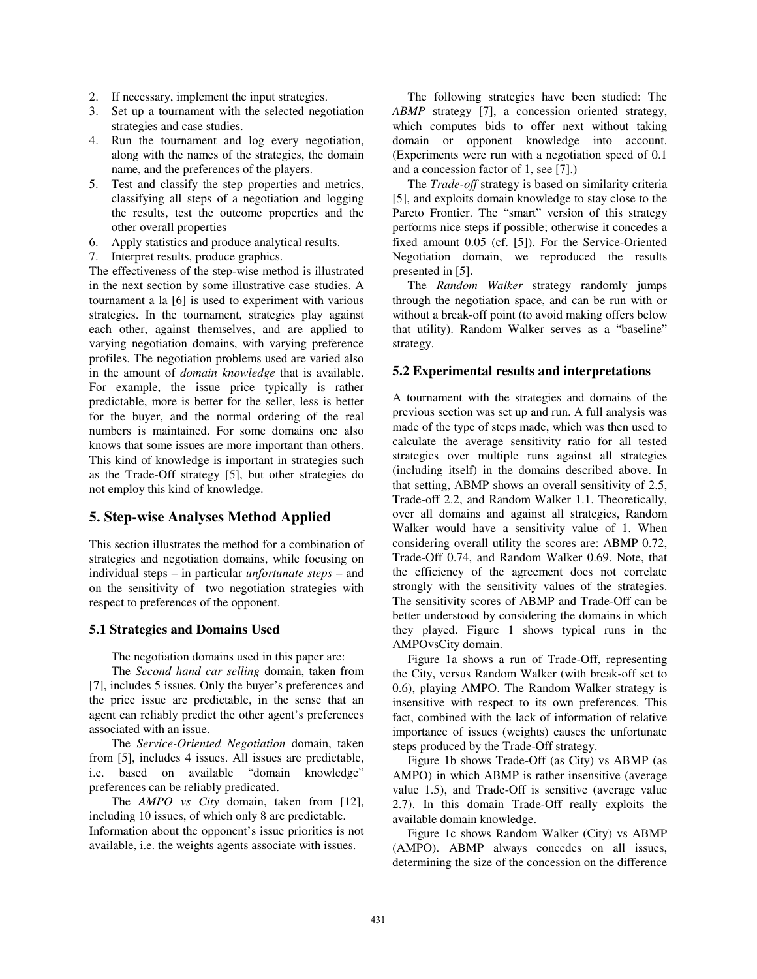- 2. If necessary, implement the input strategies.
- 3. Set up a tournament with the selected negotiation strategies and case studies.
- 4. Run the tournament and log every negotiation, along with the names of the strategies, the domain name, and the preferences of the players.
- 5. Test and classify the step properties and metrics, classifying all steps of a negotiation and logging the results, test the outcome properties and the other overall properties
- 6. Apply statistics and produce analytical results.
- 7. Interpret results, produce graphics.

The effectiveness of the step-wise method is illustrated in the next section by some illustrative case studies. A tournament a la [6] is used to experiment with various strategies. In the tournament, strategies play against each other, against themselves, and are applied to varying negotiation domains, with varying preference profiles. The negotiation problems used are varied also in the amount of *domain knowledge* that is available. For example, the issue price typically is rather predictable, more is better for the seller, less is better for the buyer, and the normal ordering of the real numbers is maintained. For some domains one also knows that some issues are more important than others. This kind of knowledge is important in strategies such as the Trade-Off strategy [5], but other strategies do not employ this kind of knowledge.

## **5. Step-wise Analyses Method Applied**

This section illustrates the method for a combination of strategies and negotiation domains, while focusing on individual steps – in particular *unfortunate steps* – and on the sensitivity of two negotiation strategies with respect to preferences of the opponent.

#### **5.1 Strategies and Domains Used**

The negotiation domains used in this paper are:

The *Second hand car selling* domain, taken from [7], includes 5 issues. Only the buyer's preferences and the price issue are predictable, in the sense that an agent can reliably predict the other agent's preferences associated with an issue.

The *Service-Oriented Negotiation* domain, taken from [5], includes 4 issues. All issues are predictable, i.e. based on available "domain knowledge" preferences can be reliably predicated.

The *AMPO vs City* domain, taken from [12], including 10 issues, of which only 8 are predictable. Information about the opponent's issue priorities is not available, i.e. the weights agents associate with issues.

The following strategies have been studied: The *ABMP* strategy [7], a concession oriented strategy, which computes bids to offer next without taking domain or opponent knowledge into account. (Experiments were run with a negotiation speed of 0.1 and a concession factor of 1, see [7].)

The *Trade-off* strategy is based on similarity criteria [5], and exploits domain knowledge to stay close to the Pareto Frontier. The "smart" version of this strategy performs nice steps if possible; otherwise it concedes a fixed amount 0.05 (cf. [5]). For the Service-Oriented Negotiation domain, we reproduced the results presented in [5].

The *Random Walker* strategy randomly jumps through the negotiation space, and can be run with or without a break-off point (to avoid making offers below that utility). Random Walker serves as a "baseline" strategy.

#### **5.2 Experimental results and interpretations**

A tournament with the strategies and domains of the previous section was set up and run. A full analysis was made of the type of steps made, which was then used to calculate the average sensitivity ratio for all tested strategies over multiple runs against all strategies (including itself) in the domains described above. In that setting, ABMP shows an overall sensitivity of 2.5, Trade-off 2.2, and Random Walker 1.1. Theoretically, over all domains and against all strategies, Random Walker would have a sensitivity value of 1. When considering overall utility the scores are: ABMP 0.72, Trade-Off 0.74, and Random Walker 0.69. Note, that the efficiency of the agreement does not correlate strongly with the sensitivity values of the strategies. The sensitivity scores of ABMP and Trade-Off can be better understood by considering the domains in which they played. Figure 1 shows typical runs in the AMPOvsCity domain.

Figure 1a shows a run of Trade-Off, representing the City, versus Random Walker (with break-off set to 0.6), playing AMPO. The Random Walker strategy is insensitive with respect to its own preferences. This fact, combined with the lack of information of relative importance of issues (weights) causes the unfortunate steps produced by the Trade-Off strategy.

Figure 1b shows Trade-Off (as City) vs ABMP (as AMPO) in which ABMP is rather insensitive (average value 1.5), and Trade-Off is sensitive (average value 2.7). In this domain Trade-Off really exploits the available domain knowledge.

Figure 1c shows Random Walker (City) vs ABMP (AMPO). ABMP always concedes on all issues, determining the size of the concession on the difference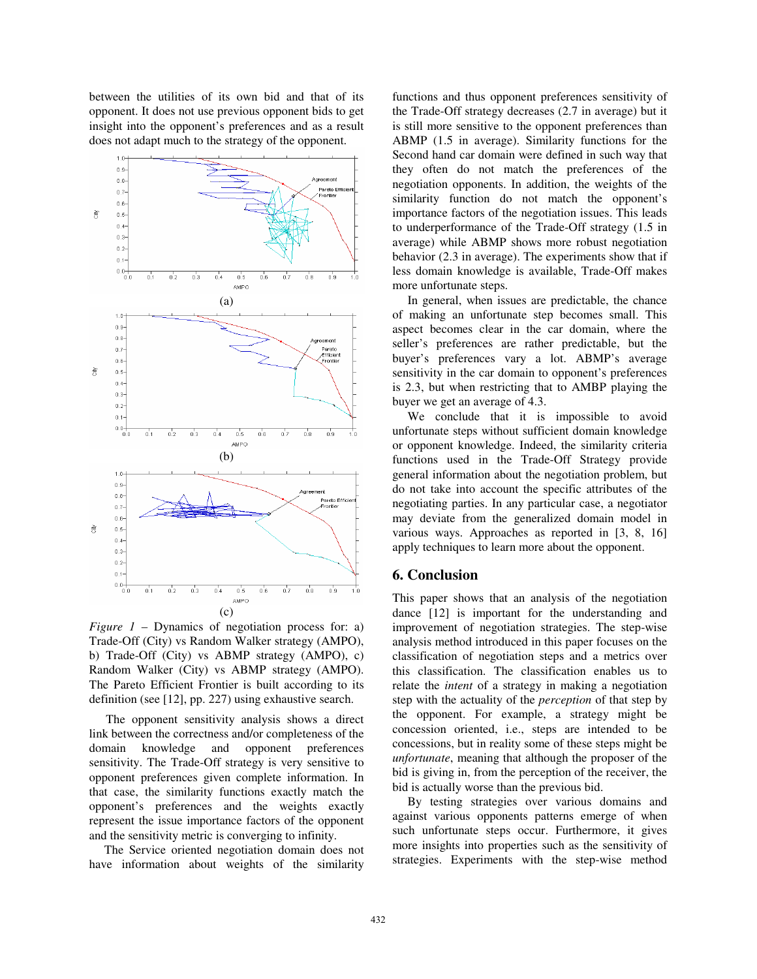between the utilities of its own bid and that of its opponent. It does not use previous opponent bids to get insight into the opponent's preferences and as a result does not adapt much to the strategy of the opponent.



*Figure 1* – Dynamics of negotiation process for: a) Trade-Off (City) vs Random Walker strategy (AMPO), b) Trade-Off (City) vs ABMP strategy (AMPO), c) Random Walker (City) vs ABMP strategy (AMPO). The Pareto Efficient Frontier is built according to its definition (see [12], pp. 227) using exhaustive search.

The opponent sensitivity analysis shows a direct link between the correctness and/or completeness of the domain knowledge and opponent preferences sensitivity. The Trade-Off strategy is very sensitive to opponent preferences given complete information. In that case, the similarity functions exactly match the opponent's preferences and the weights exactly represent the issue importance factors of the opponent and the sensitivity metric is converging to infinity.

The Service oriented negotiation domain does not have information about weights of the similarity

functions and thus opponent preferences sensitivity of the Trade-Off strategy decreases (2.7 in average) but it is still more sensitive to the opponent preferences than ABMP (1.5 in average). Similarity functions for the Second hand car domain were defined in such way that they often do not match the preferences of the negotiation opponents. In addition, the weights of the similarity function do not match the opponent's importance factors of the negotiation issues. This leads to underperformance of the Trade-Off strategy (1.5 in average) while ABMP shows more robust negotiation behavior (2.3 in average). The experiments show that if less domain knowledge is available, Trade-Off makes more unfortunate steps.

In general, when issues are predictable, the chance of making an unfortunate step becomes small. This aspect becomes clear in the car domain, where the seller's preferences are rather predictable, but the buyer's preferences vary a lot. ABMP's average sensitivity in the car domain to opponent's preferences is 2.3, but when restricting that to AMBP playing the buyer we get an average of 4.3.

We conclude that it is impossible to avoid unfortunate steps without sufficient domain knowledge or opponent knowledge. Indeed, the similarity criteria functions used in the Trade-Off Strategy provide general information about the negotiation problem, but do not take into account the specific attributes of the negotiating parties. In any particular case, a negotiator may deviate from the generalized domain model in various ways. Approaches as reported in [3, 8, 16] apply techniques to learn more about the opponent.

### **6. Conclusion**

This paper shows that an analysis of the negotiation dance [12] is important for the understanding and improvement of negotiation strategies. The step-wise analysis method introduced in this paper focuses on the classification of negotiation steps and a metrics over this classification. The classification enables us to relate the *intent* of a strategy in making a negotiation step with the actuality of the *perception* of that step by the opponent. For example, a strategy might be concession oriented, i.e., steps are intended to be concessions, but in reality some of these steps might be *unfortunate*, meaning that although the proposer of the bid is giving in, from the perception of the receiver, the bid is actually worse than the previous bid.

By testing strategies over various domains and against various opponents patterns emerge of when such unfortunate steps occur. Furthermore, it gives more insights into properties such as the sensitivity of strategies. Experiments with the step-wise method